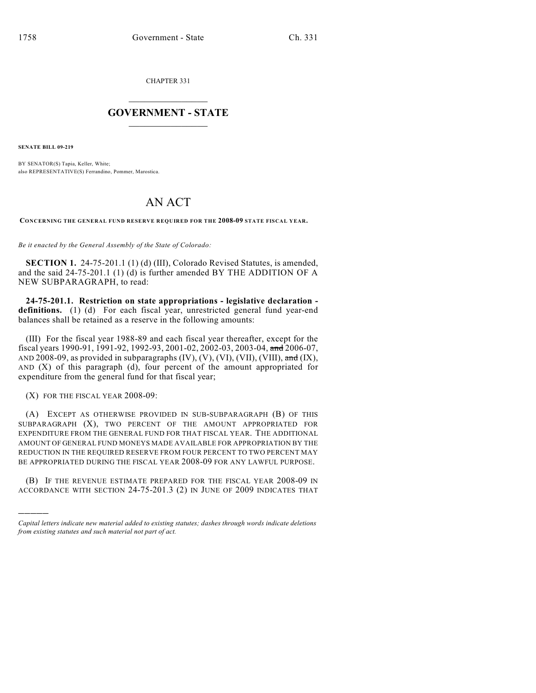CHAPTER 331

## $\mathcal{L}_\text{max}$  . The set of the set of the set of the set of the set of the set of the set of the set of the set of the set of the set of the set of the set of the set of the set of the set of the set of the set of the set **GOVERNMENT - STATE**  $\_$

**SENATE BILL 09-219**

BY SENATOR(S) Tapia, Keller, White; also REPRESENTATIVE(S) Ferrandino, Pommer, Marostica.

## AN ACT

**CONCERNING THE GENERAL FUND RESERVE REQUIRED FOR THE 2008-09 STATE FISCAL YEAR.**

*Be it enacted by the General Assembly of the State of Colorado:*

**SECTION 1.** 24-75-201.1 (1) (d) (III), Colorado Revised Statutes, is amended, and the said 24-75-201.1 (1) (d) is further amended BY THE ADDITION OF A NEW SUBPARAGRAPH, to read:

**24-75-201.1. Restriction on state appropriations - legislative declaration definitions.** (1) (d) For each fiscal year, unrestricted general fund year-end balances shall be retained as a reserve in the following amounts:

(III) For the fiscal year 1988-89 and each fiscal year thereafter, except for the fiscal years 1990-91, 1991-92, 1992-93, 2001-02, 2002-03, 2003-04, and 2006-07, AND 2008-09, as provided in subparagraphs  $(IV)$ ,  $(V)$ ,  $(VI)$ ,  $(VII)$ ,  $(VIII)$ ,  $\overline{and} (IX)$ , AND (X) of this paragraph (d), four percent of the amount appropriated for expenditure from the general fund for that fiscal year;

(X) FOR THE FISCAL YEAR 2008-09:

)))))

(A) EXCEPT AS OTHERWISE PROVIDED IN SUB-SUBPARAGRAPH (B) OF THIS SUBPARAGRAPH (X), TWO PERCENT OF THE AMOUNT APPROPRIATED FOR EXPENDITURE FROM THE GENERAL FUND FOR THAT FISCAL YEAR. THE ADDITIONAL AMOUNT OF GENERAL FUND MONEYS MADE AVAILABLE FOR APPROPRIATION BY THE REDUCTION IN THE REQUIRED RESERVE FROM FOUR PERCENT TO TWO PERCENT MAY BE APPROPRIATED DURING THE FISCAL YEAR 2008-09 FOR ANY LAWFUL PURPOSE.

(B) IF THE REVENUE ESTIMATE PREPARED FOR THE FISCAL YEAR 2008-09 IN ACCORDANCE WITH SECTION 24-75-201.3 (2) IN JUNE OF 2009 INDICATES THAT

*Capital letters indicate new material added to existing statutes; dashes through words indicate deletions from existing statutes and such material not part of act.*